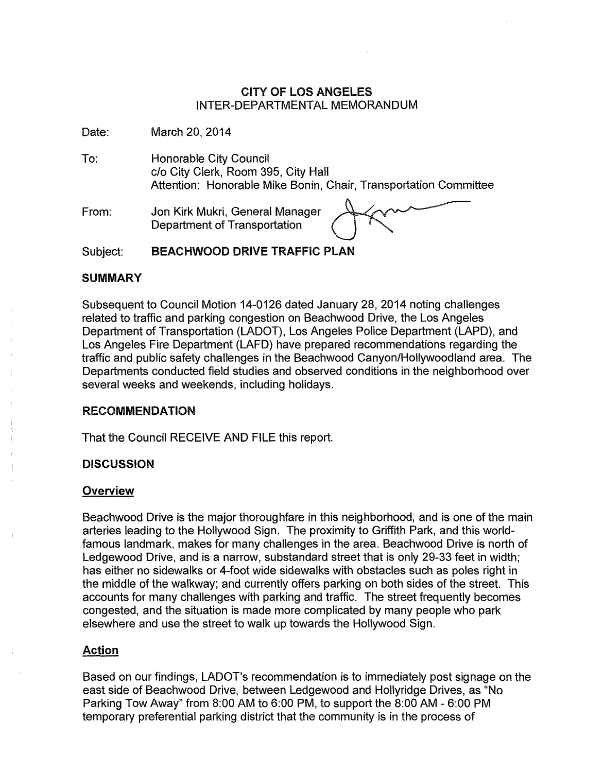## CITY OF LOS ANGELES INTER-DEPARTMENTAL MEMORANDUM

Date: March 20, 2014

- To: Honorable City Council *clo* City Clerk, Room 395, City Hall Attention: Honorable Mike Bonin, Chair, Transportation Committee
- From: Jon Kirk Mukri, General Manager Department of Transportation



Subject: BEACHWOOD DRIVE TRAFFIC PLAN

## SUMMARY

Subsequent to Council Motion 14-0126 dated January 28,2014 noting challenges related to traffic and parking congestion on Beachwood Drive, the Los Angeles Department of Transportation (LADOT), Los Angeles Police Department (LAPD), and Los Angeles Fire Department (LAFD) have prepared recommendations regarding the traffic and public safety challenges in the Beachwood Canyon/Hollywoodland area. The Departments conducted field studies and observed conditions in the neighborhood over several weeks and weekends, including holidays.

## RECOMMENDATION

That the Council RECEIVE AND FILE this report.

## **DISCUSSION**

#### **Overview**

Beachwood Drive is the major thoroughfare in this neighborhood, and is one of the main arteries leading to the Hollywood Sign. The proximity to Griffith Park, and this worldfamous landmark, makes for many challenges in the area. Beachwood Drive is north of Ledgewood Drive, and is a narrow, substandard street that is only 29-33 feet in width; has either no sidewalks or 4-foot wide sidewalks with obstacles such as poles right in the middle of the walkway; and currently offers parking on both sides of the street. This accounts for many challenges with parking and traffic. The street frequently becomes congested, and the situation is made more complicated by many people who park elsewhere and use the street to walk up towards the Hollywood Sign.

## Action

Based on our findings, LADOT's recommendation is to immediately post signage on the east side of Beachwood Drive, between Ledgewood and Hollyridge Drives, as "No Parking Tow Away" from 8:00 AM to 6:00 PM, to support the 8:00 AM - 6:00 PM temporary preferential parking district that the community is in the process of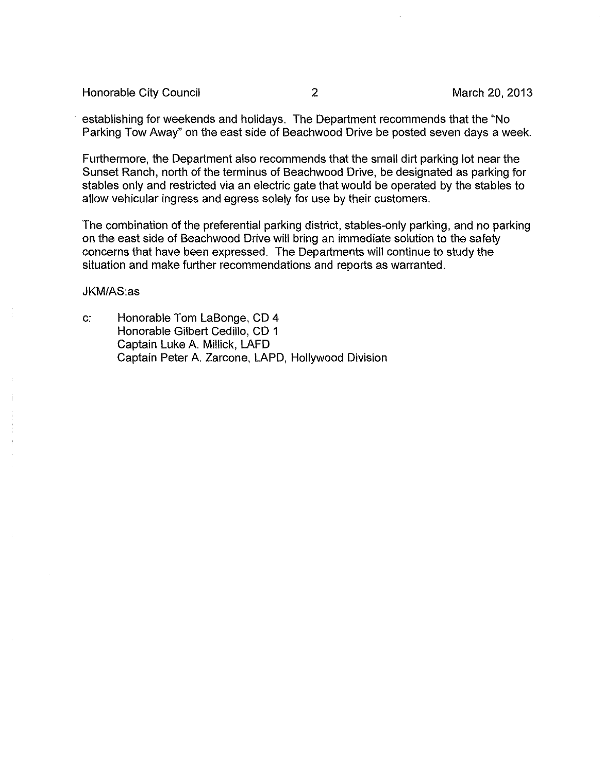Honorable City Council 2 2 2 March 20, 2013

. establishing for weekends and holidays. The Department recommends that the "No Parking Tow Away" on the east side of Beachwood Drive be posted seven days a week.

Furthermore, the Department also recommends that the small dirt parking lot near the Sunset Ranch, north of the terminus of Beachwood Drive, be designated as parking for stables only and restricted via an electric gate that would be operated by the stables to allow vehicular ingress and egress solely for use by their customers.

The combination of the preferential parking district, stables-only parking, and no parking on the east side of Beachwood Drive will bring an immediate solution to the safety concerns that have been expressed. The Departments will continue to study the situation and make further recommendations and reports as warranted.

JKM/AS:as

c: Honorable Tom LaBonge, CD 4 Honorable Gilbert Cedillo, CD 1 Captain Luke A. Millick, LAFD Captain Peter A. Zarcone, LAPD, Hollywood Division